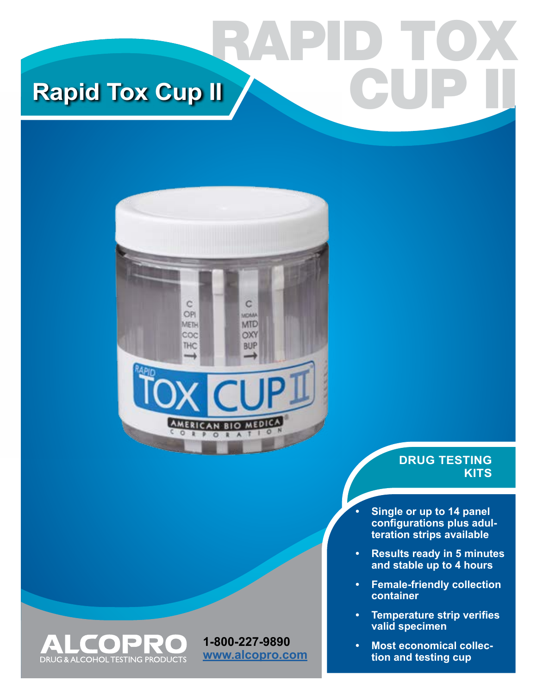# RAPID TOX **Rapid Tox Cup II**



**1-800-227-9890 [www.alcopro.com](http://www.alcopro.com)**

 $\Box$ 

**DRUG & ALCOHOL TESTING PRODUCTS** 

▲

 $\Box$ 

## **DRUG TESTING KITS**

CUP II

- **• Single or up to 14 panel configurations plus adulteration strips available**
- **• Results ready in 5 minutes and stable up to 4 hours**
- **• Female-friendly collection container**
- **• Temperature strip verifies valid specimen**
- **• Most economical collection and testing cup**